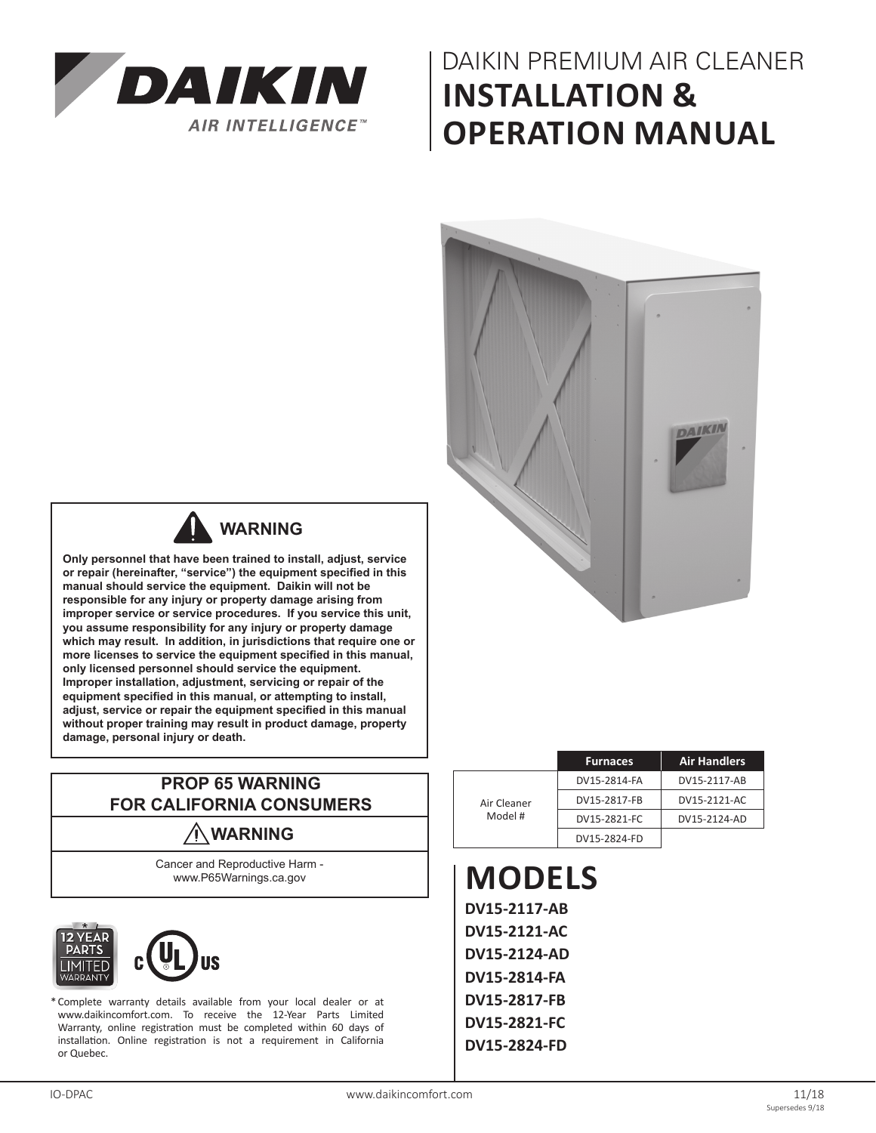

# DAIKIN PREMIUM AIR CLEANER **INSTALLATION & OPERATION MANUAL**





## **WARNING**

**Only personnel that have been trained to install, adjust, service or repair (hereinafter, "service") the equipment specified in this manual should service the equipment. Daikin will not be responsible for any injury or property damage arising from improper service or service procedures. If you service this unit, you assume responsibility for any injury or property damage which may result. In addition, in jurisdictions that require one or more licenses to service the equipment specified in this manual, only licensed personnel should service the equipment. Improper installation, adjustment, servicing or repair of the equipment specified in this manual, or attempting to install, adjust, service or repair the equipment specified in this manual without proper training may result in product damage, property damage, personal injury or death.**

### **PROP 65 WARNING FOR CALIFORNIA CONSUMERS**

## **WARNING**

Cancer and Reproductive Harm www.P65Warnings.ca.gov





\*Complete warranty details available from your local dealer or at www.daikincomfort.com. To receive the 12-Year Parts Limited Warranty, online registration must be completed within 60 days of installation. Online registration is not a requirement in California or Quebec.

|             | <b>Furnaces</b> | <b>Air Handlers</b> |  |  |
|-------------|-----------------|---------------------|--|--|
|             | DV15-2814-FA    | DV15-2117-AB        |  |  |
| Air Cleaner | DV15-2817-FB    | DV15-2121-AC        |  |  |
| Model #     | DV15-2821-FC    | DV15-2124-AD        |  |  |
|             | DV15-2824-FD    |                     |  |  |

**MODELS DV15-2117-AB DV15-2121-AC DV15-2124-AD DV15-2814-FA DV15-2817-FB DV15-2821-FC DV15-2824-FD**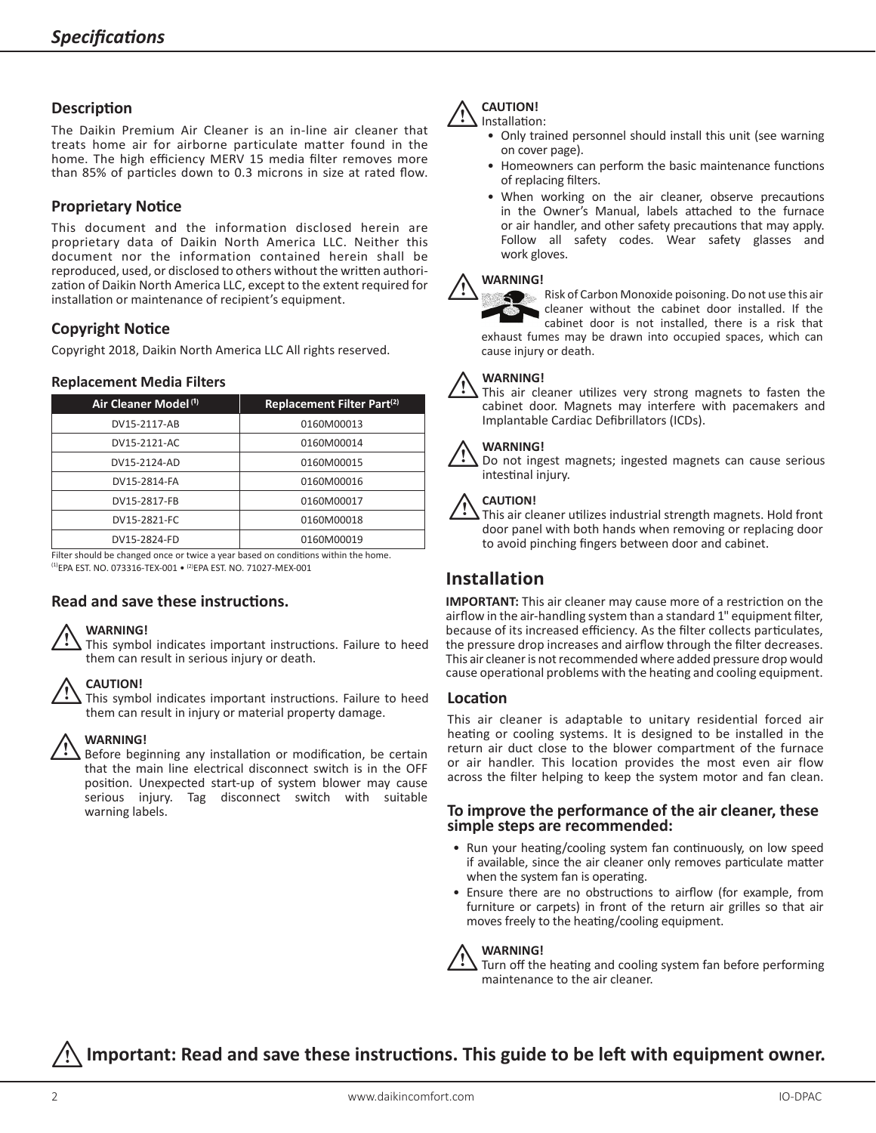#### **Description**

The Daikin Premium Air Cleaner is an in-line air cleaner that treats home air for airborne particulate matter found in the home. The high efficiency MERV 15 media filter removes more than 85% of particles down to 0.3 microns in size at rated flow.

#### **Proprietary Notice**

This document and the information disclosed herein are proprietary data of Daikin North America LLC. Neither this document nor the information contained herein shall be reproduced, used, or disclosed to others without the written authorization of Daikin North America LLC, except to the extent required for installation or maintenance of recipient's equipment.

### **Copyright Notice**

Copyright 2018, Daikin North America LLC All rights reserved.

#### **Replacement Media Filters**

| Air Cleaner Model <sup>(1)</sup> | Replacement Filter Part <sup>(2)</sup> |
|----------------------------------|----------------------------------------|
| DV15-2117-AB                     | 0160M00013                             |
| DV15-2121-AC                     | 0160M00014                             |
| DV15-2124-AD                     | 0160M00015                             |
| DV15-2814-FA                     | 0160M00016                             |
| DV15-2817-FB                     | 0160M00017                             |
| DV15-2821-FC                     | 0160M00018                             |
| DV15-2824-FD                     | 0160M00019                             |

Filter should be changed once or twice a year based on conditions within the home.  $^{(1)}$ EPA EST. NO. 073316-TEX-001  $\bullet$   $^{(2)}$ EPA EST. NO. 71027-MEX-001

### **Read and save these instructions.**

#### **WARNING!**

This symbol indicates important instructions. Failure to heed them can result in serious injury or death.

#### **CAUTION!**

This symbol indicates important instructions. Failure to heed them can result in injury or material property damage.

### **WARNING!**   $\triangle$

Before beginning any installation or modification, be certain that the main line electrical disconnect switch is in the OFF position. Unexpected start-up of system blower may cause serious injury. Tag disconnect switch with suitable warning labels.

#### **CAUTION!** Installation:  $\triangle$

- Only trained personnel should install this unit (see warning on cover page).
- Homeowners can perform the basic maintenance functions of replacing filters.
- When working on the air cleaner, observe precautions in the Owner's Manual, labels attached to the furnace or air handler, and other safety precautions that may apply. Follow all safety codes. Wear safety glasses and work gloves.

### **WARNING!**  $\triangle$

Risk of Carbon Monoxide poisoning. Do not use this air cleaner without the cabinet door installed. If the cabinet door is not installed, there is a risk that exhaust fumes may be drawn into occupied spaces, which can cause injury or death.

### **WARNING!**  $\triangle$

This air cleaner utilizes very strong magnets to fasten the cabinet door. Magnets may interfere with pacemakers and Implantable Cardiac Defibrillators (ICDs). 

#### **WARNING!**

Do not ingest magnets; ingested magnets can cause serious intestinal injury.

#### i**CAUTION!**

This air cleaner utilizes industrial strength magnets. Hold front door panel with both hands when removing or replacing door to avoid pinching fingers between door and cabinet.

### **Installation**

**IMPORTANT:** This air cleaner may cause more of a restriction on the airflow in the air-handling system than a standard 1" equipment filter, because of its increased efficiency. As the filter collects particulates, the pressure drop increases and airflow through the filter decreases. This air cleaner is not recommended where added pressure drop would cause operational problems with the heating and cooling equipment.

#### **Location**

This air cleaner is adaptable to unitary residential forced air heating or cooling systems. It is designed to be installed in the return air duct close to the blower compartment of the furnace or air handler. This location provides the most even air flow across the filter helping to keep the system motor and fan clean.

#### **To improve the performance of the air cleaner, these simple steps are recommended:**

- Run your heating/cooling system fan continuously, on low speed if available, since the air cleaner only removes particulate matter when the system fan is operating.
- Ensure there are no obstructions to airflow (for example, from furniture or carpets) in front of the return air grilles so that air moves freely to the heating/cooling equipment.

#### **WARNING!**

Turn off the heating and cooling system fan before performing maintenance to the air cleaner.

## i**Important: Read and save these instructions. This guide to be left with equipment owner.**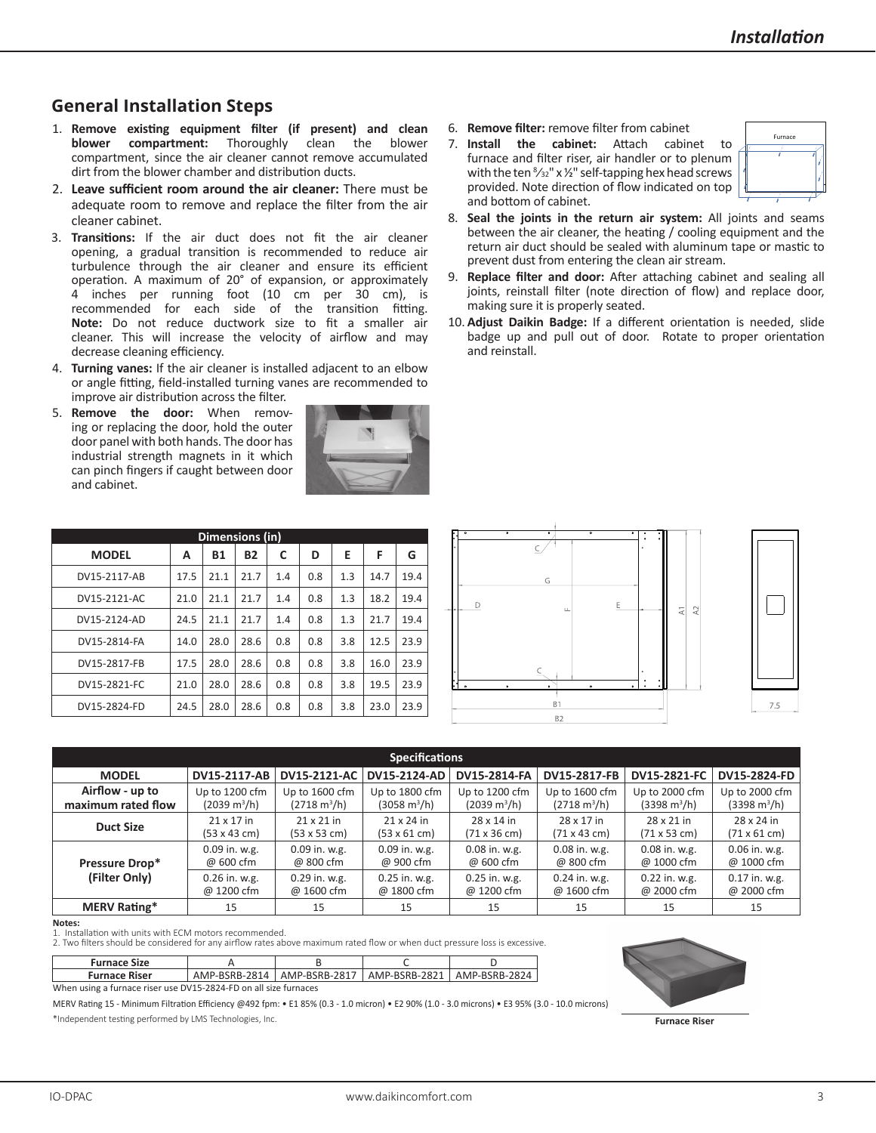## **General Installation Steps**

- 1. **Remove existing equipment filter (if present) and clean blower compartment:** Thoroughly clean the blower compartment, since the air cleaner cannot remove accumulated dirt from the blower chamber and distribution ducts.
- 2. **Leave sufficient room around the air cleaner:** There must be adequate room to remove and replace the filter from the air cleaner cabinet.
- 3. **Transitions:** If the air duct does not fit the air cleaner opening, a gradual transition is recommended to reduce air turbulence through the air cleaner and ensure its efficient operation. A maximum of 20° of expansion, or approximately 4 inches per running foot (10 cm per 30 cm), is recommended for each side of the transition fitting. **Note:** Do not reduce ductwork size to fit a smaller air cleaner. This will increase the velocity of airflow and may decrease cleaning efficiency.
- 4. **Turning vanes:** If the air cleaner is installed adjacent to an elbow or angle fitting, field-installed turning vanes are recommended to improve air distribution across the filter.
- 5. **Remove the door:** When removing or replacing the door, hold the outer door panel with both hands. The door has industrial strength magnets in it which can pinch fingers if caught between door and cabinet.



- 6. **Remove filter:** remove filter from cabinet
- 7. **Install the cabinet:** Attach cabinet to furnace and filter riser, air handler or to plenum with the ten  $\frac{8}{32}$ " x 1/2" self-tapping hex head screws provided. Note direction of flow indicated on top and bottom of cabinet.



- 8. **Seal the joints in the return air system:** All joints and seams between the air cleaner, the heating / cooling equipment and the return air duct should be sealed with aluminum tape or mastic to prevent dust from entering the clean air stream.
- 9. **Replace filter and door:** After attaching cabinet and sealing all joints, reinstall filter (note direction of flow) and replace door, making sure it is properly seated.
- 10. **Adjust Daikin Badge:** If a different orientation is needed, slide badge up and pull out of door. Rotate to proper orientation and reinstall.

| Dimensions (in) |      |           |           |     |     |     |      |      |  |
|-----------------|------|-----------|-----------|-----|-----|-----|------|------|--|
| <b>MODEL</b>    | А    | <b>B1</b> | <b>B2</b> | C   | D   | E   | F    | G    |  |
| DV15-2117-AB    | 17.5 | 21.1      | 21.7      | 1.4 | 0.8 | 1.3 | 14.7 | 19.4 |  |
| DV15-2121-AC    | 21.0 | 21.1      | 21.7      | 1.4 | 0.8 | 1.3 | 18.2 | 19.4 |  |
| DV15-2124-AD    | 24.5 | 21.1      | 21.7      | 1.4 | 0.8 | 1.3 | 21.7 | 19.4 |  |
| DV15-2814-FA    | 14.0 | 28.0      | 28.6      | 0.8 | 0.8 | 3.8 | 12.5 | 23.9 |  |
| DV15-2817-FB    | 17.5 | 28.0      | 28.6      | 0.8 | 0.8 | 3.8 | 16.0 | 23.9 |  |
| DV15-2821-FC    | 21.0 | 28.0      | 28.6      | 0.8 | 0.8 | 3.8 | 19.5 | 23.9 |  |
| DV15-2824-FD    | 24.5 | 28.0      | 28.6      | 0.8 | 0.8 | 3.8 | 23.0 | 23.9 |  |





| <b>Specifications</b> |                               |                               |                             |                               |                               |                               |                               |  |  |
|-----------------------|-------------------------------|-------------------------------|-----------------------------|-------------------------------|-------------------------------|-------------------------------|-------------------------------|--|--|
| <b>MODEL</b>          | DV15-2117-AB                  | DV15-2121-AC                  | DV15-2124-AD                | DV15-2817-FB<br>DV15-2814-FA  |                               | DV15-2821-FC                  | DV15-2824-FD                  |  |  |
| Airflow - up to       | Up to 1200 cfm                | Up to 1600 cfm                | Up to 1800 cfm              | Up to 1200 cfm                | Up to 1600 cfm                | Up to 2000 cfm                | Up to 2000 cfm                |  |  |
| maximum rated flow    | $(2039 \text{ m}^3/\text{h})$ | $(2718 \text{ m}^3/\text{h})$ | (3058 m <sup>3</sup> /h)    | $(2039 \text{ m}^3/\text{h})$ | $(2718 \text{ m}^3/\text{h})$ | $(3398 \text{ m}^3/\text{h})$ | $(3398 \text{ m}^3/\text{h})$ |  |  |
| <b>Duct Size</b>      | 21 x 17 in                    | 21 x 21 in                    | 21 x 24 in                  | 28 x 14 in                    | 28 x 17 in                    | 28 x 21 in                    | 28 x 24 in                    |  |  |
|                       | $(53 \times 43 \text{ cm})$   | $(53 \times 53 \text{ cm})$   | $(53 \times 61 \text{ cm})$ | (71 x 36 cm)                  | $(71 \times 43 \text{ cm})$   | (71 x 53 cm)                  | $(71 \times 61 \text{ cm})$   |  |  |
| Pressure Drop*        | 0.09 in. w.g.                 | 0.09 in. w.g.                 | 0.09 in. w.g.               | 0.08 in. w.g.                 | $0.08$ in. w.g.               | $0.08$ in. w.g.               | $0.06$ in. w.g.               |  |  |
|                       | @ 600 cfm                     | @ 800 cfm                     | @ 900 cfm                   | @ 600 cfm                     | @ 800 cfm                     | @ 1000 cfm                    | @ 1000 cfm                    |  |  |
| (Filter Only)         | $0.26$ in. w.g.               | $0.29$ in. w.g.               | $0.25$ in. w.g.             | $0.25$ in. w.g.               | $0.24$ in. w.g.               | $0.22$ in. w.g.               | $0.17$ in. w.g.               |  |  |
|                       | @ 1200 cfm                    | @ 1600 cfm                    | @ 1800 cfm                  | @ 1200 cfm                    | @ 1600 cfm                    | @ 2000 cfm                    | @ 2000 cfm                    |  |  |
| <b>MERV Rating*</b>   | 15                            | 15                            | 15                          | 15                            | 15                            | 15                            | 15                            |  |  |

**Notes:**

1. Installation with units with ECM motors recommended.

2. Two filters should be considered for any airflow rates above maximum rated flow or when duct pressure loss is excessive.

| <b>Furnace Size</b>                                              |  |  |                                                               |  |  |  |  |
|------------------------------------------------------------------|--|--|---------------------------------------------------------------|--|--|--|--|
| <b>Furnace Riser</b>                                             |  |  | AMP-BSRB-2814   AMP-BSRB-2817   AMP-BSRB-2821   AMP-BSRB-2824 |  |  |  |  |
| When using a furnace riser use DV15-2824-FD on all size furnaces |  |  |                                                               |  |  |  |  |

MERV Rating 15 - Minimum Filtration Efficiency @492 fpm: • E1 85% (0.3 - 1.0 micron) • E2 90% (1.0 - 3.0 microns) • E3 95% (3.0 - 10.0 microns) \*Independent testing performed by LMS Technologies, Inc.



**Furnace Riser**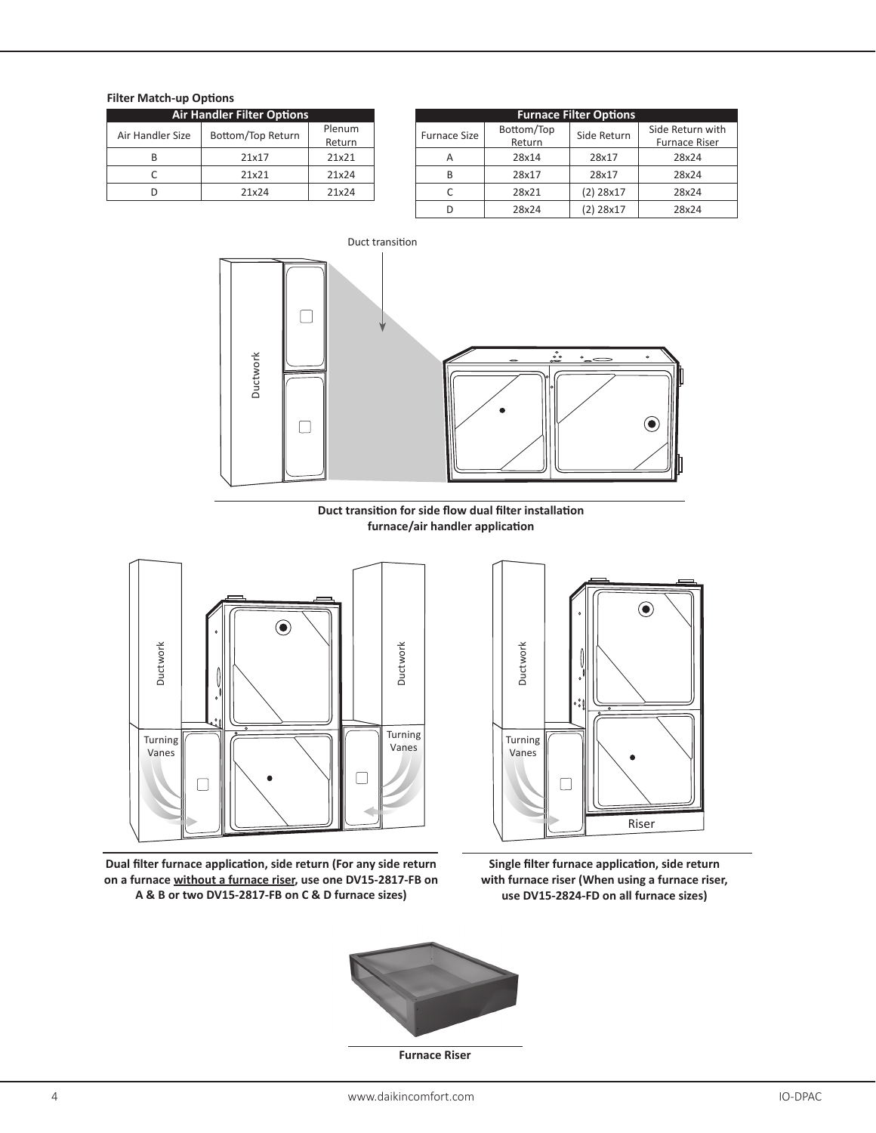#### **Filter Match-up Options**

| <b>Air Handler Filter Options</b> |                   |        |  |  |  |  |
|-----------------------------------|-------------------|--------|--|--|--|--|
| Air Handler Size                  | Bottom/Top Return | Plenum |  |  |  |  |
|                                   |                   | Return |  |  |  |  |
|                                   | 21x17             | 21x21  |  |  |  |  |
|                                   | 21x21             | 21x24  |  |  |  |  |
|                                   | 21x24             | 21x24  |  |  |  |  |

| Air Handler Filter Options |                   |                  | <b>Furnace Filter Options</b> |                      |             |                                   |  |
|----------------------------|-------------------|------------------|-------------------------------|----------------------|-------------|-----------------------------------|--|
| dler Size                  | Bottom/Top Return | Plenum<br>Return | <b>Furnace Size</b>           | Bottom/Top<br>Return | Side Return | Side Return with<br>Furnace Riser |  |
| B                          | 21x17             | 21x21            | А                             | 28x14                | 28x17       | 28x24                             |  |
| C                          | 21x21             | 21x24            | B                             | 28x17                | 28x17       | 28x24                             |  |
| D                          | 21x24             | 21x24            |                               | 28x21                | $(2)$ 28x17 | 28x24                             |  |
|                            |                   |                  |                               | 28x24                | $(2)$ 28x17 | 28x24                             |  |



**Duct transition for side flow dual filter installation furnace/air handler application**



**Dual filter furnace application, side return (For any side return on a furnace without a furnace riser, use one DV15-2817-FB on A & B or two DV15-2817-FB on C & D furnace sizes)**



**Single filter furnace application, side return with furnace riser (When using a furnace riser, use DV15-2824-FD on all furnace sizes)**



**Furnace Riser**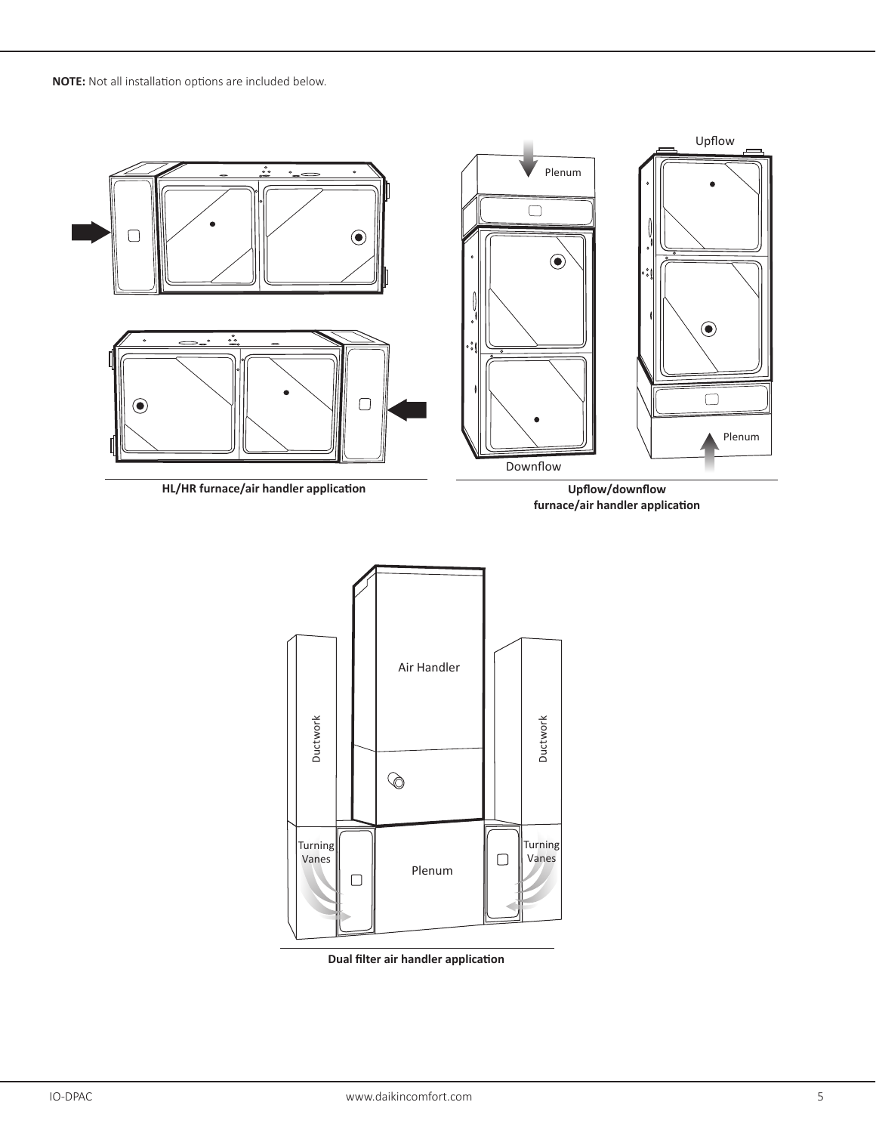**NOTE:** Not all installation options are included below.



**HL/HR furnace/air handler application**

**Upflow/downflow furnace/air handler application**



**Dual filter air handler application**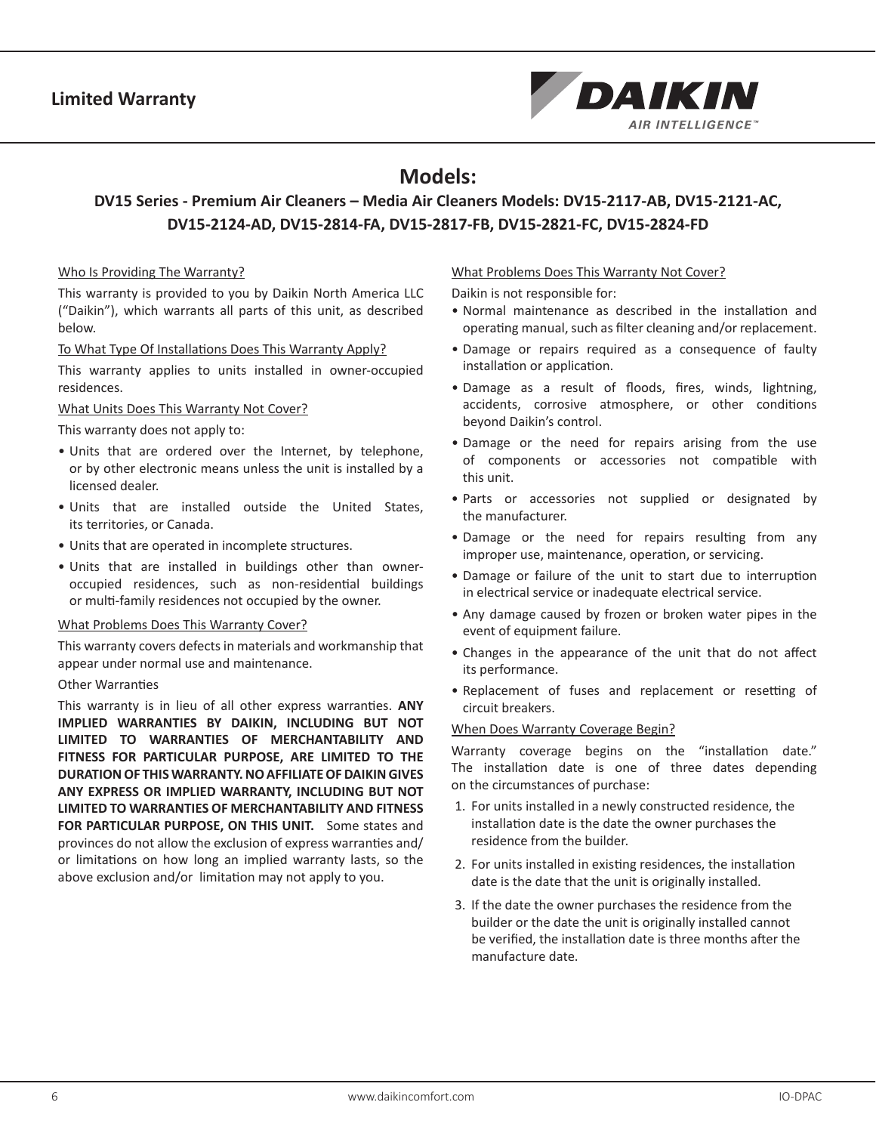

## **Models:**

## **DV15 Series - Premium Air Cleaners – Media Air Cleaners Models: DV15-2117-AB, DV15-2121-AC, DV15-2124-AD, DV15-2814-FA, DV15-2817-FB, DV15-2821-FC, DV15-2824-FD**

#### Who Is Providing The Warranty?

This warranty is provided to you by Daikin North America LLC ("Daikin"), which warrants all parts of this unit, as described below.

To What Type Of Installations Does This Warranty Apply?

This warranty applies to units installed in owner-occupied residences.

#### What Units Does This Warranty Not Cover?

This warranty does not apply to:

- Units that are ordered over the Internet, by telephone, or by other electronic means unless the unit is installed by a licensed dealer.
- Units that are installed outside the United States, its territories, or Canada.
- Units that are operated in incomplete structures.
- Units that are installed in buildings other than owneroccupied residences, such as non-residential buildings or multi-family residences not occupied by the owner.

#### What Problems Does This Warranty Cover?

This warranty covers defects in materials and workmanship that appear under normal use and maintenance.

#### Other Warranties

This warranty is in lieu of all other express warranties. **ANY IMPLIED WARRANTIES BY DAIKIN, INCLUDING BUT NOT LIMITED TO WARRANTIES OF MERCHANTABILITY AND FITNESS FOR PARTICULAR PURPOSE, ARE LIMITED TO THE DURATION OF THIS WARRANTY. NO AFFILIATE OF DAIKIN GIVES ANY EXPRESS OR IMPLIED WARRANTY, INCLUDING BUT NOT LIMITED TO WARRANTIES OF MERCHANTABILITY AND FITNESS**  FOR PARTICULAR PURPOSE, ON THIS UNIT. Some states and provinces do not allow the exclusion of express warranties and/ or limitations on how long an implied warranty lasts, so the above exclusion and/or limitation may not apply to you.

#### What Problems Does This Warranty Not Cover?

Daikin is not responsible for:

- Normal maintenance as described in the installation and operating manual, such as filter cleaning and/or replacement.
- Damage or repairs required as a consequence of faulty installation or application.
- Damage as a result of floods, fires, winds, lightning, accidents, corrosive atmosphere, or other conditions beyond Daikin's control.
- Damage or the need for repairs arising from the use of components or accessories not compatible with this unit.
- Parts or accessories not supplied or designated by the manufacturer.
- Damage or the need for repairs resulting from any improper use, maintenance, operation, or servicing.
- Damage or failure of the unit to start due to interruption in electrical service or inadequate electrical service.
- Any damage caused by frozen or broken water pipes in the event of equipment failure.
- Changes in the appearance of the unit that do not affect its performance.
- Replacement of fuses and replacement or resetting of circuit breakers.

#### When Does Warranty Coverage Begin?

Warranty coverage begins on the "installation date." The installation date is one of three dates depending on the circumstances of purchase:

- 1. For units installed in a newly constructed residence, the installation date is the date the owner purchases the residence from the builder.
- 2. For units installed in existing residences, the installation date is the date that the unit is originally installed.
- 3. If the date the owner purchases the residence from the builder or the date the unit is originally installed cannot be verified, the installation date is three months after the manufacture date.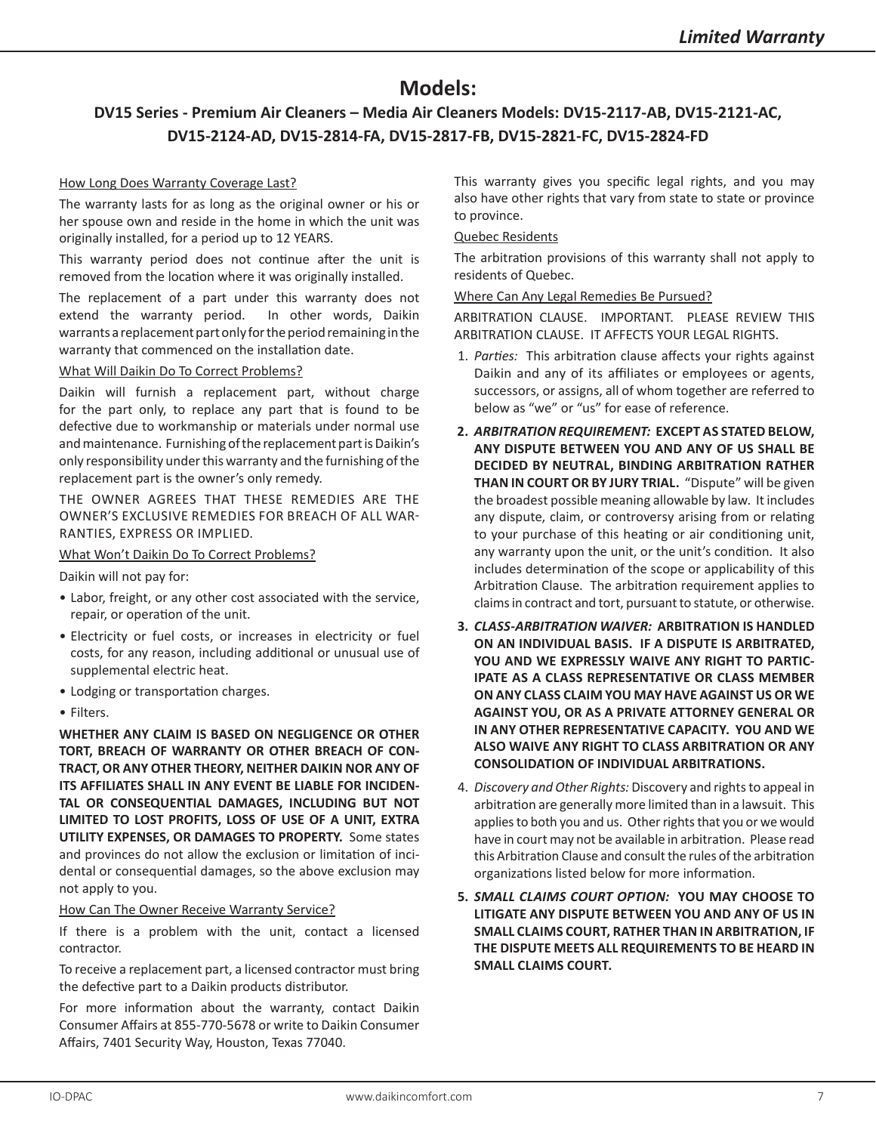## **Models:**

## **DV15 Series - Premium Air Cleaners – Media Air Cleaners Models: DV15-2117-AB, DV15-2121-AC, DV15-2124-AD, DV15-2814-FA, DV15-2817-FB, DV15-2821-FC, DV15-2824-FD**

#### How Long Does Warranty Coverage Last?

The warranty lasts for as long as the original owner or his or her spouse own and reside in the home in which the unit was originally installed, for a period up to 12 YEARS.

This warranty period does not continue after the unit is removed from the location where it was originally installed.

The replacement of a part under this warranty does not extend the warranty period. In other words, Daikin warrants a replacement part only for the period remaining in the warranty that commenced on the installation date.

#### What Will Daikin Do To Correct Problems?

Daikin will furnish a replacement part, without charge for the part only, to replace any part that is found to be defective due to workmanship or materials under normal use and maintenance. Furnishing of the replacement part is Daikin's only responsibility under this warranty and the furnishing of the replacement part is the owner's only remedy.

THE OWNER AGREES THAT THESE REMEDIES ARE THE OWNER'S EXCLUSIVE REMEDIES FOR BREACH OF ALL WAR-RANTIES, EXPRESS OR IMPLIED.

#### What Won't Daikin Do To Correct Problems?

Daikin will not pay for:

- Labor, freight, or any other cost associated with the service, repair, or operation of the unit.
- Electricity or fuel costs, or increases in electricity or fuel costs, for any reason, including additional or unusual use of supplemental electric heat.
- Lodging or transportation charges.
- Filters.

**WHETHER ANY CLAIM IS BASED ON NEGLIGENCE OR OTHER TORT, BREACH OF WARRANTY OR OTHER BREACH OF CON-TRACT, OR ANY OTHER THEORY, NEITHER DAIKIN NOR ANY OF ITS AFFILIATES SHALL IN ANY EVENT BE LIABLE FOR INCIDEN-TAL OR CONSEQUENTIAL DAMAGES, INCLUDING BUT NOT LIMITED TO LOST PROFITS, LOSS OF USE OF A UNIT, EXTRA UTILITY EXPENSES, OR DAMAGES TO PROPERTY.** Some states and provinces do not allow the exclusion or limitation of incidental or consequential damages, so the above exclusion may not apply to you.

#### How Can The Owner Receive Warranty Service?

If there is a problem with the unit, contact a licensed contractor.

To receive a replacement part, a licensed contractor must bring the defective part to a Daikin products distributor.

For more information about the warranty, contact Daikin Consumer Affairs at 855-770-5678 or write to Daikin Consumer Affairs, 7401 Security Way, Houston, Texas 77040.

This warranty gives you specific legal rights, and you may also have other rights that vary from state to state or province to province.

#### Quebec Residents

The arbitration provisions of this warranty shall not apply to residents of Quebec.

#### Where Can Any Legal Remedies Be Pursued?

ARBITRATION CLAUSE. IMPORTANT. PLEASE REVIEW THIS ARBITRATION CLAUSE. IT AFFECTS YOUR LEGAL RIGHTS.

- 1. *Parties:* This arbitration clause affects your rights against Daikin and any of its affiliates or employees or agents, successors, or assigns, all of whom together are referred to below as "we" or "us" for ease of reference.
- **2.** *ARBITRATION REQUIREMENT:* **EXCEPT AS STATED BELOW, ANY DISPUTE BETWEEN YOU AND ANY OF US SHALL BE DECIDED BY NEUTRAL, BINDING ARBITRATION RATHER THAN IN COURT OR BY JURY TRIAL.** "Dispute" will be given the broadest possible meaning allowable by law. It includes any dispute, claim, or controversy arising from or relating to your purchase of this heating or air conditioning unit, any warranty upon the unit, or the unit's condition. It also includes determination of the scope or applicability of this Arbitration Clause. The arbitration requirement applies to claims in contract and tort, pursuant to statute, or otherwise.
- **3.** *CLASS-ARBITRATION WAIVER:* **ARBITRATION IS HANDLED ON AN INDIVIDUAL BASIS. IF A DISPUTE IS ARBITRATED, YOU AND WE EXPRESSLY WAIVE ANY RIGHT TO PARTIC-IPATE AS A CLASS REPRESENTATIVE OR CLASS MEMBER ON ANY CLASS CLAIM YOU MAY HAVE AGAINST US OR WE AGAINST YOU, OR AS A PRIVATE ATTORNEY GENERAL OR IN ANY OTHER REPRESENTATIVE CAPACITY. YOU AND WE ALSO WAIVE ANY RIGHT TO CLASS ARBITRATION OR ANY CONSOLIDATION OF INDIVIDUAL ARBITRATIONS.**
- 4. *Discovery and Other Rights:* Discovery and rights to appeal in arbitration are generally more limited than in a lawsuit. This applies to both you and us. Other rights that you or we would have in court may not be available in arbitration. Please read this Arbitration Clause and consult the rules of the arbitration organizations listed below for more information.
- **5.** *SMALL CLAIMS COURT OPTION:* **YOU MAY CHOOSE TO LITIGATE ANY DISPUTE BETWEEN YOU AND ANY OF US IN SMALL CLAIMS COURT, RATHER THAN IN ARBITRATION, IF THE DISPUTE MEETS ALL REQUIREMENTS TO BE HEARD IN SMALL CLAIMS COURT.**